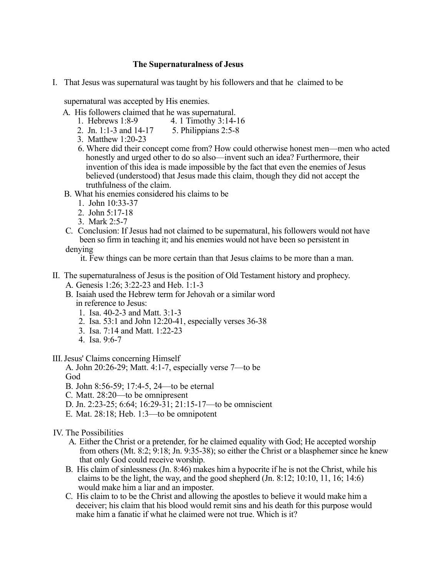## **The Supernaturalness of Jesus**

I. That Jesus was supernatural was taught by his followers and that he claimed to be

supernatural was accepted by His enemies.

- A. His followers claimed that he was supernatural.
	- 1. Hebrews 1:8-9 4. 1 Timothy 3:14-16
	- 2. Jn. 1:1-3 and 14-17 5. Philippians 2:5-8
	- 3. Matthew 1:20-23
	- 6. Where did their concept come from? How could otherwise honest men—men who acted honestly and urged other to do so also—invent such an idea? Furthermore, their invention of this idea is made impossible by the fact that even the enemies of Jesus believed (understood) that Jesus made this claim, though they did not accept the truthfulness of the claim.
- B. What his enemies considered his claims to be
	- 1. John 10:33-37
	- 2. John 5:17-18
	- 3. Mark 2:5-7
- C. Conclusion: If Jesus had not claimed to be supernatural, his followers would not have been so firm in teaching it; and his enemies would not have been so persistent in

denying

it. Few things can be more certain than that Jesus claims to be more than a man.

- II. The supernaturalness of Jesus is the position of Old Testament history and prophecy. A. Genesis 1:26; 3:22-23 and Heb. 1:1-3
	- B. Isaiah used the Hebrew term for Jehovah or a similar word in reference to Jesus:
		- 1. Isa. 40-2-3 and Matt. 3:1-3
		- 2. Isa. 53:1 and John 12:20-41, especially verses 36-38
		- 3. Isa. 7:14 and Matt. 1:22-23
		- 4. Isa. 9:6-7

III. Jesus' Claims concerning Himself

A. John 20:26-29; Matt. 4:1-7, especially verse 7—to be God

- B. John 8:56-59; 17:4-5, 24—to be eternal
- C. Matt. 28:20—to be omnipresent
- D. Jn. 2:23-25; 6:64; 16:29-31; 21:15-17—to be omniscient
- E. Mat. 28:18; Heb. 1:3—to be omnipotent

## IV. The Possibilities

- A. Either the Christ or a pretender, for he claimed equality with God; He accepted worship from others (Mt. 8:2; 9:18; Jn. 9:35-38); so either the Christ or a blasphemer since he knew that only God could receive worship.
- B. His claim of sinlessness (Jn. 8:46) makes him a hypocrite if he is not the Christ, while his claims to be the light, the way, and the good shepherd  $(Jn. 8:12; 10:10, 11, 16; 14:6)$ would make him a liar and an imposter.
- C. His claim to to be the Christ and allowing the apostles to believe it would make him a deceiver; his claim that his blood would remit sins and his death for this purpose would make him a fanatic if what he claimed were not true. Which is it?